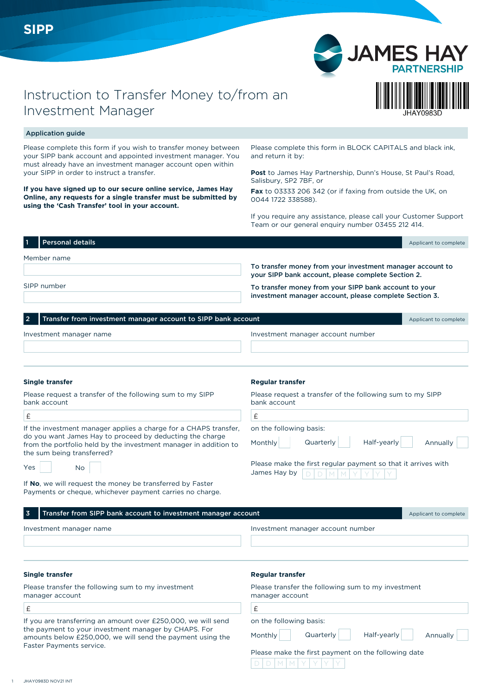



# Application guide

Please complete this form if you wish to transfer money between your SIPP bank account and appointed investment manager. You must already have an investment manager account open within your SIPP in order to instruct a transfer.

**If you have signed up to our secure online service, James Hay Online, any requests for a single transfer must be submitted by using the 'Cash Transfer' tool in your account.**

Please complete this form in BLOCK CAPITALS and black ink, and return it by:

**Post** to James Hay Partnership, Dunn's House, St Paul's Road, Salisbury, SP2 7BF, or

**Fax** to 03333 206 342 (or if faxing from outside the UK, on 0044 1722 338588).

If you require any assistance, please call your Customer Support Team or our general enquiry number 03455 212 414.

| 1۱ | <b>Personal details</b> |                                                           | Applicant to complete |  |  |  |
|----|-------------------------|-----------------------------------------------------------|-----------------------|--|--|--|
|    | Member name             |                                                           |                       |  |  |  |
|    |                         | To transfer money from your investment manager account to |                       |  |  |  |
|    |                         | your SIPP bank account, please complete Section 2.        |                       |  |  |  |
|    | SIPP number             | To transfer money from your SIPP bank account to your     |                       |  |  |  |
|    |                         | investment manager account, please complete Section 3.    |                       |  |  |  |

|                         | 2 Transfer from investment manager account to SIPP bank account |                                   |  |  |  |
|-------------------------|-----------------------------------------------------------------|-----------------------------------|--|--|--|
| Investment manager name |                                                                 | Investment manager account number |  |  |  |
|                         |                                                                 |                                   |  |  |  |

£

### **Single transfer**

 $\sqrt{2}$ 

Please request a transfer of the following sum to my SIPP bank account

| If the investment manager applies a charge for a CHAPS transfer, |
|------------------------------------------------------------------|
| do you want James Hay to proceed by deducting the charge         |
| from the portfolio held by the investment manager in addition to |
| the sum being transferred?                                       |

| Yes |  | No |
|-----|--|----|
|-----|--|----|

If **No**, we will request the money be transferred by Faster Payments or cheque, whichever payment carries no charge.

#### **Regular transfer**

Please request a transfer of the following sum to my SIPP bank account

on the following basis:

Monthly

 $D$   $D$   $M$   $M$   $Y$   $Y$   $Y$ 

Quarterly Half-yearly Annually

| Please make the first regular payment so that it arrives with |  |  |  |  |  |  |  |  |  |
|---------------------------------------------------------------|--|--|--|--|--|--|--|--|--|
|                                                               |  |  |  |  |  |  |  |  |  |

| Transfer from SIPP bank account to investment manager account<br>3                                                                                                                                              | Applicant to complete                                                                                                             |  |  |  |  |  |
|-----------------------------------------------------------------------------------------------------------------------------------------------------------------------------------------------------------------|-----------------------------------------------------------------------------------------------------------------------------------|--|--|--|--|--|
| Investment manager name                                                                                                                                                                                         | Investment manager account number                                                                                                 |  |  |  |  |  |
| <b>Single transfer</b>                                                                                                                                                                                          | <b>Regular transfer</b>                                                                                                           |  |  |  |  |  |
| Please transfer the following sum to my investment<br>manager account                                                                                                                                           | Please transfer the following sum to my investment<br>manager account                                                             |  |  |  |  |  |
| £                                                                                                                                                                                                               | £                                                                                                                                 |  |  |  |  |  |
| If you are transferring an amount over £250,000, we will send<br>the payment to your investment manager by CHAPS. For<br>amounts below £250,000, we will send the payment using the<br>Faster Payments service. | on the following basis:<br>Half-yearly<br>Quarterly<br>Monthly<br>Annually<br>Please make the first payment on the following date |  |  |  |  |  |